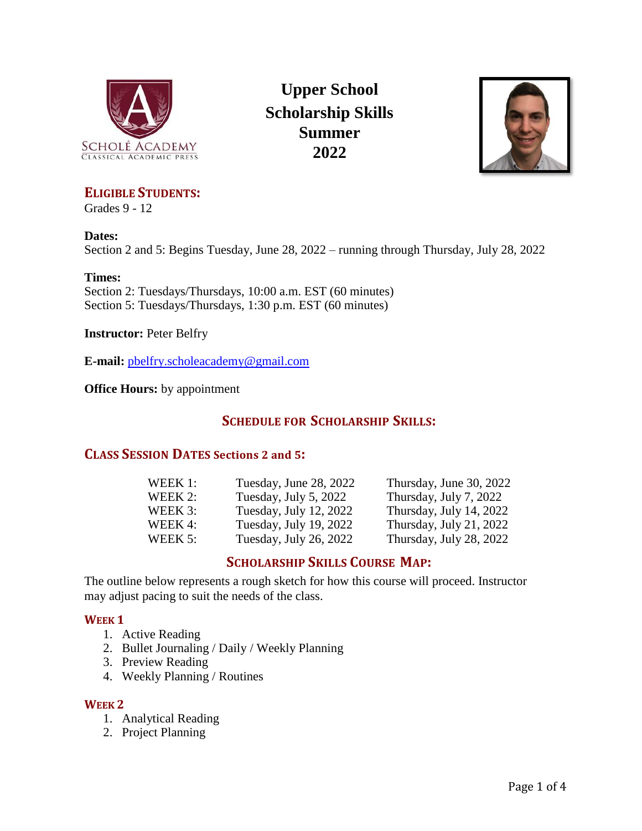

**Upper School Scholarship Skills Summer 2022**



# **ELIGIBLE STUDENTS:**

Grades 9 - 12

#### **Dates:**

Section 2 and 5: Begins Tuesday, June 28, 2022 – running through Thursday, July 28, 2022

#### **Times:**

Section 2: Tuesdays/Thursdays, 10:00 a.m. EST (60 minutes) Section 5: Tuesdays/Thursdays, 1:30 p.m. EST (60 minutes)

**Instructor:** Peter Belfry

**E-mail:** [pbelfry.scholeacademy@gmail.com](mailto:pbelfry.scholeacademy@gmail.com)

**Office Hours:** by appointment

# **SCHEDULE FOR SCHOLARSHIP SKILLS:**

## **CLASS SESSION DATES Sections 2 and 5:**

| WEEK 1:   | Tuesday, June 28, 2022 | Thursday, June 30, 2022 |
|-----------|------------------------|-------------------------|
| WEEK 2:   | Tuesday, July 5, 2022  | Thursday, July 7, 2022  |
| WEEK 3:   | Tuesday, July 12, 2022 | Thursday, July 14, 2022 |
| WEEK 4:   | Tuesday, July 19, 2022 | Thursday, July 21, 2022 |
| WEEK $5:$ | Tuesday, July 26, 2022 | Thursday, July 28, 2022 |

## **SCHOLARSHIP SKILLS COURSE MAP:**

The outline below represents a rough sketch for how this course will proceed. Instructor may adjust pacing to suit the needs of the class.

#### **WEEK 1**

- 1. Active Reading
- 2. Bullet Journaling / Daily / Weekly Planning
- 3. Preview Reading
- 4. Weekly Planning / Routines

#### **WEEK 2**

- 1. Analytical Reading
- 2. Project Planning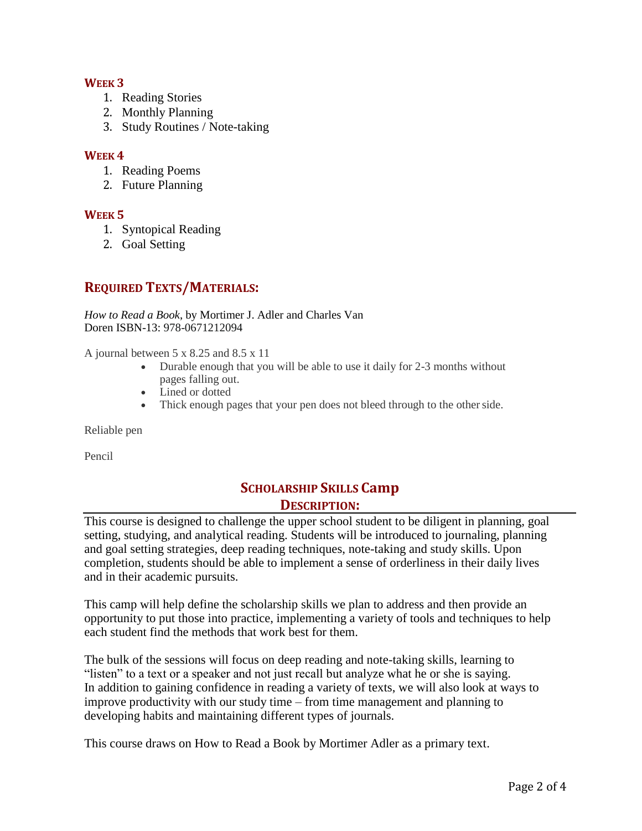#### **WEEK 3**

- 1. Reading Stories
- 2. Monthly Planning
- 3. Study Routines / Note-taking

#### **WEEK 4**

- 1. Reading Poems
- 2. Future Planning

#### **WEEK 5**

- 1. Syntopical Reading
- 2. Goal Setting

# **REQUIRED TEXTS/MATERIALS:**

*How to Read a Book*, by Mortimer J. Adler and Charles Van Doren ISBN-13: 978-0671212094

A journal between 5 x 8.25 and 8.5 x 11

- Durable enough that you will be able to use it daily for 2-3 months without pages falling out.
- Lined or dotted
- Thick enough pages that your pen does not bleed through to the other side.

Reliable pen

Pencil

# **SCHOLARSHIP SKILLS Camp DESCRIPTION:**

This course is designed to challenge the upper school student to be diligent in planning, goal setting, studying, and analytical reading. Students will be introduced to journaling, planning and goal setting strategies, deep reading techniques, note-taking and study skills. Upon completion, students should be able to implement a sense of orderliness in their daily lives and in their academic pursuits.

This camp will help define the scholarship skills we plan to address and then provide an opportunity to put those into practice, implementing a variety of tools and techniques to help each student find the methods that work best for them.

The bulk of the sessions will focus on deep reading and note-taking skills, learning to "listen" to a text or a speaker and not just recall but analyze what he or she is saying. In addition to gaining confidence in reading a variety of texts, we will also look at ways to improve productivity with our study time – from time management and planning to developing habits and maintaining different types of journals.

This course draws on How to Read a Book by Mortimer Adler as a primary text.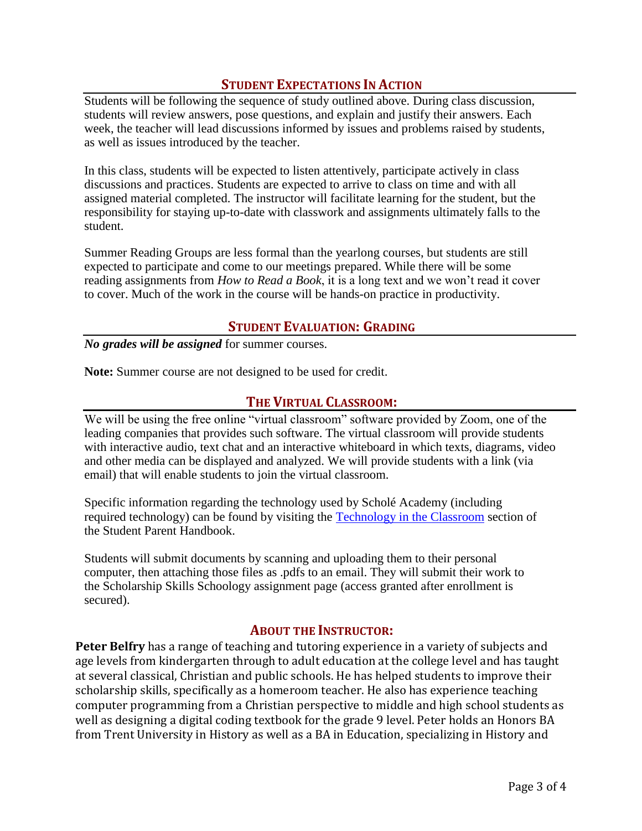# **STUDENT EXPECTATIONS IN ACTION**

Students will be following the sequence of study outlined above. During class discussion, students will review answers, pose questions, and explain and justify their answers. Each week, the teacher will lead discussions informed by issues and problems raised by students, as well as issues introduced by the teacher.

In this class, students will be expected to listen attentively, participate actively in class discussions and practices. Students are expected to arrive to class on time and with all assigned material completed. The instructor will facilitate learning for the student, but the responsibility for staying up-to-date with classwork and assignments ultimately falls to the student.

Summer Reading Groups are less formal than the yearlong courses, but students are still expected to participate and come to our meetings prepared. While there will be some reading assignments from *How to Read a Book*, it is a long text and we won't read it cover to cover. Much of the work in the course will be hands-on practice in productivity.

### **STUDENT EVALUATION: GRADING**

*No grades will be assigned* for summer courses.

**Note:** Summer course are not designed to be used for credit.

## **THE VIRTUAL CLASSROOM:**

We will be using the free online "virtual classroom" software provided by Zoom, one of the leading companies that provides such software. The virtual classroom will provide students with interactive audio, text chat and an interactive whiteboard in which texts, diagrams, video and other media can be displayed and analyzed. We will provide students with a link (via email) that will enable students to join the virtual classroom.

Specific information regarding the technology used by Scholé Academy (including required technology) can be found by visiting the Technology in the Classroom section of the Student Parent Handbook.

Students will submit documents by scanning and uploading them to their personal computer, then attaching those files as .pdfs to an email. They will submit their work to the Scholarship Skills Schoology assignment page (access granted after enrollment is secured).

## **ABOUT THE INSTRUCTOR:**

**Peter Belfry** has a range of teaching and tutoring experience in a variety of subjects and age levels from kindergarten through to adult education at the college level and has taught at several classical, Christian and public schools. He has helped students to improve their scholarship skills, specifically as a homeroom teacher. He also has experience teaching computer programming from a Christian perspective to middle and high school students as well as designing a digital coding textbook for the grade 9 level. Peter holds an Honors BA from Trent University in History as well as a BA in Education, specializing in History and